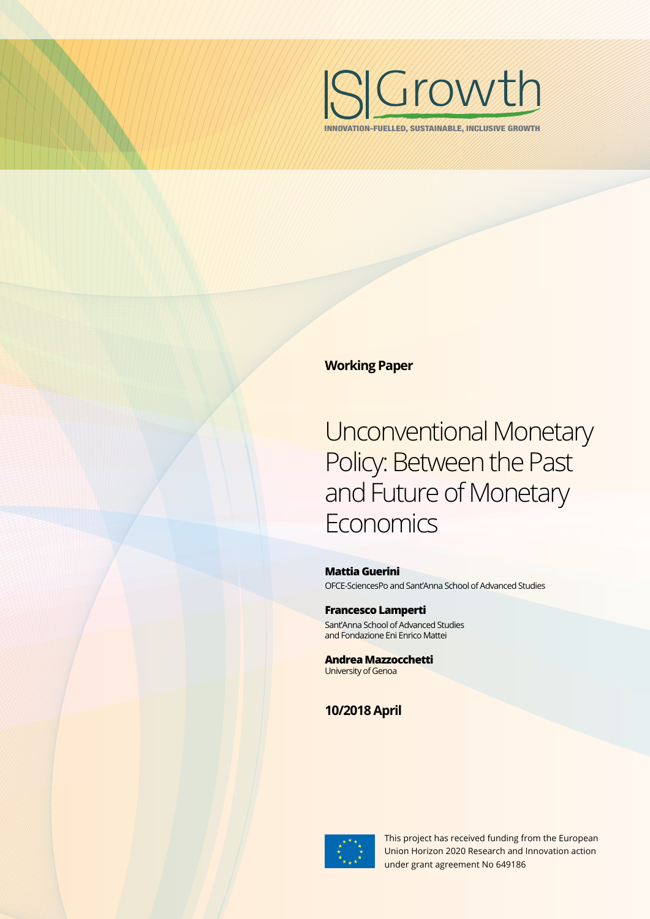

INNOVATION-FUELLED, SUSTAINABLE, INCLUSIVE GROWTH

# **Working Paper**

Unconventional Monetary Policy: Between the Past and Future of Monetary **Economics** 

**Mattia Guerini** OFCE-SciencesPo and Sant'Anna School of Advanced Studies

**Francesco Lamperti** Sant'Anna School of Advanced Studies and Fondazione Eni Enrico Mattei

**Andrea Mazzocchetti** University of Genoa

**10/2018 April**



This project has received funding from the European Union Horizon 2020 Research and Innovation action under grant agreement No 649186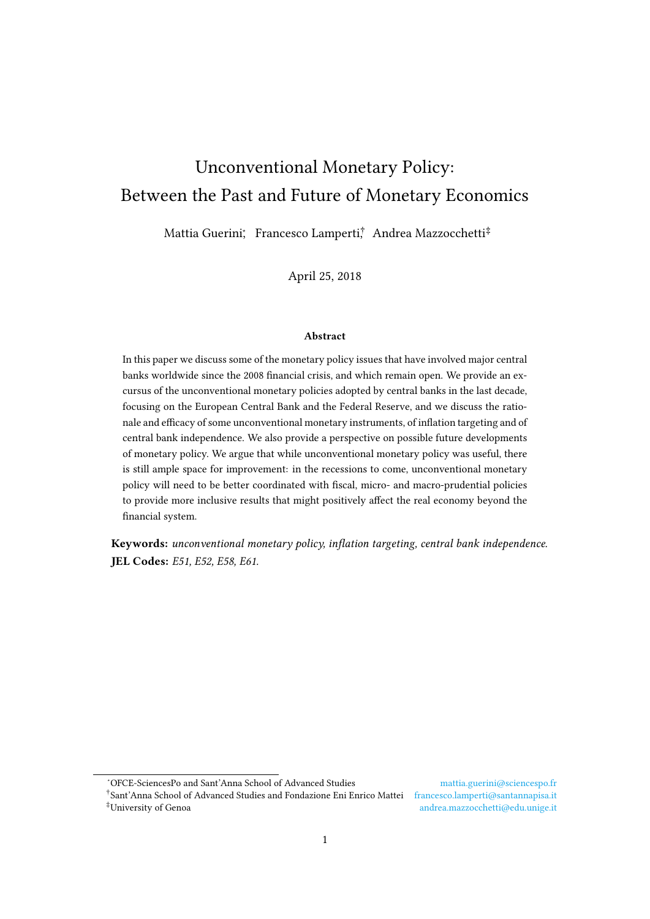# Unconventional Monetary Policy: Between the Past and Future of Monetary Economics

Mattia Guerini', Francesco Lamperti, ⊤Andrea Mazzocchetti‡

April 25, 2018

#### Abstract

In this paper we discuss some of the monetary policy issues that have involved major central banks worldwide since the 2008 financial crisis, and which remain open. We provide an excursus of the unconventional monetary policies adopted by central banks in the last decade, focusing on the European Central Bank and the Federal Reserve, and we discuss the rationale and efficacy of some unconventional monetary instruments, of inflation targeting and of central bank independence. We also provide a perspective on possible future developments of monetary policy. We argue that while unconventional monetary policy was useful, there is still ample space for improvement: in the recessions to come, unconventional monetary policy will need to be better coordinated with fiscal, micro- and macro-prudential policies to provide more inclusive results that might positively affect the real economy beyond the financial system.

Keywords: unconventional monetary policy, inflation targeting, central bank independence. JEL Codes: E51, E52, E58, E61.

<sup>∗</sup>OFCE-SciencesPo and Sant'Anna School of Advanced Studies mattia.guerini@sciencespo.fr

<sup>†</sup> Sant'Anna School of Advanced Studies and Fondazione Eni Enrico Mattei francesco.lamperti@santannapisa.it ‡University of Genoa andrea.mazzocchetti@edu.unige.it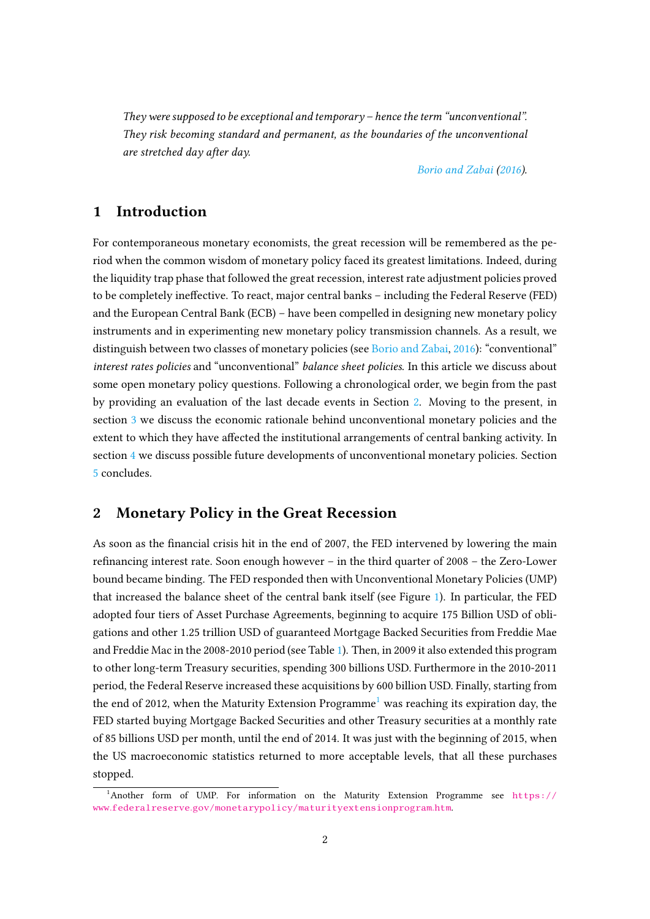They were supposed to be exceptional and temporary – hence the term "unconventional". They risk becoming standard and permanent, as the boundaries of the unconventional are stretched day after day.

[Borio and Zabai](#page-11-0) [\(2016\)](#page-11-0).

# 1 Introduction

For contemporaneous monetary economists, the great recession will be remembered as the period when the common wisdom of monetary policy faced its greatest limitations. Indeed, during the liquidity trap phase that followed the great recession, interest rate adjustment policies proved to be completely ineffective. To react, major central banks – including the Federal Reserve (FED) and the European Central Bank (ECB) – have been compelled in designing new monetary policy instruments and in experimenting new monetary policy transmission channels. As a result, we distinguish between two classes of monetary policies (see [Borio and Zabai,](#page-11-0) [2016\)](#page-11-0): "conventional" interest rates policies and "unconventional" balance sheet policies. In this article we discuss about some open monetary policy questions. Following a chronological order, we begin from the past by providing an evaluation of the last decade events in Section [2.](#page-2-0) Moving to the present, in section [3](#page-4-0) we discuss the economic rationale behind unconventional monetary policies and the extent to which they have affected the institutional arrangements of central banking activity. In section [4](#page-8-0) we discuss possible future developments of unconventional monetary policies. Section [5](#page-9-0) concludes.

### <span id="page-2-0"></span>2 Monetary Policy in the Great Recession

As soon as the financial crisis hit in the end of 2007, the FED intervened by lowering the main refinancing interest rate. Soon enough however – in the third quarter of  $2008$  – the Zero-Lower bound became binding. The FED responded then with Unconventional Monetary Policies (UMP) that increased the balance sheet of the central bank itself (see Figure [1\)](#page-4-1). In particular, the FED adopted four tiers of Asset Purchase Agreements, beginning to acquire 175 Billion USD of obligations and other 1.25 trillion USD of guaranteed Mortgage Backed Securities from Freddie Mae and Freddie Mac in the 2008-2010 period (see Table [1\)](#page-3-0). Then, in 2009 it also extended this program to other long-term Treasury securities, spending 300 billions USD. Furthermore in the 2010-2011 period, the Federal Reserve increased these acquisitions by 600 billion USD. Finally, starting from the end of 20[1](#page-2-1)2, when the Maturity Extension Programme<sup>1</sup> was reaching its expiration day, the FED started buying Mortgage Backed Securities and other Treasury securities at a monthly rate of 85 billions USD per month, until the end of 2014. It was just with the beginning of 2015, when the US macroeconomic statistics returned to more acceptable levels, that all these purchases stopped.

<span id="page-2-1"></span><sup>&</sup>lt;sup>1</sup>Another form of UMP. For information on the Maturity Extension Programme see [https://](https://www.federalreserve.gov/monetarypolicy/maturityextensionprogram.htm) www.federalreserve.[gov/monetarypolicy/maturityextensionprogram](https://www.federalreserve.gov/monetarypolicy/maturityextensionprogram.htm).htm.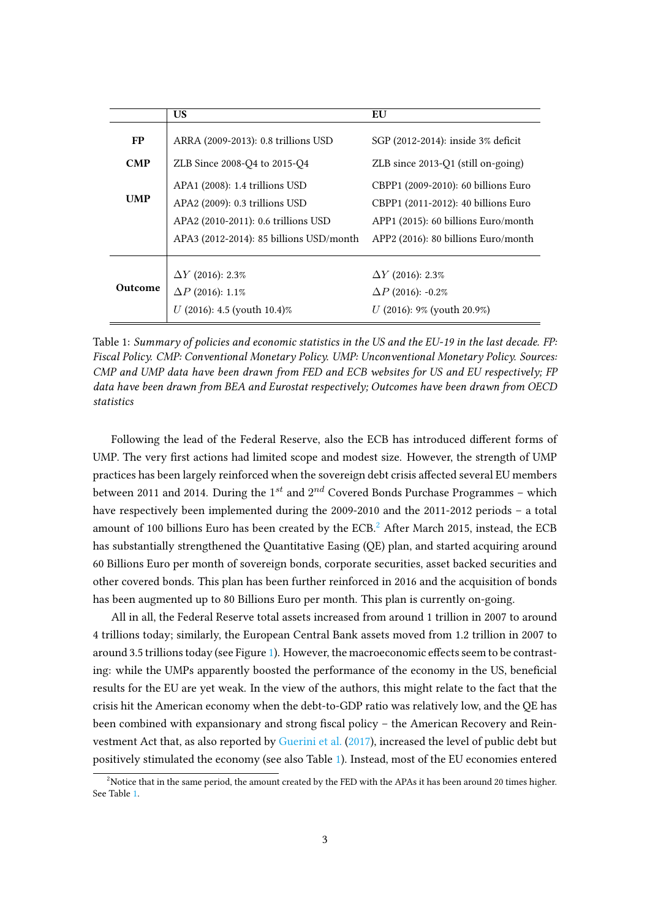<span id="page-3-0"></span>

|            | <b>US</b>                                                                                                                                          | EU                                                                                                                                                       |
|------------|----------------------------------------------------------------------------------------------------------------------------------------------------|----------------------------------------------------------------------------------------------------------------------------------------------------------|
| <b>FP</b>  | ARRA (2009-2013): 0.8 trillions USD                                                                                                                | SGP (2012-2014): inside 3% deficit                                                                                                                       |
| CMP        | ZLB Since 2008-Q4 to 2015-Q4                                                                                                                       | $ZLB$ since 2013-Q1 (still on-going)                                                                                                                     |
| <b>UMP</b> | APA1 (2008): 1.4 trillions USD<br>APA2 (2009): 0.3 trillions USD<br>APA2 (2010-2011): 0.6 trillions USD<br>APA3 (2012-2014): 85 billions USD/month | CBPP1 (2009-2010): 60 billions Euro<br>CBPP1 (2011-2012): 40 billions Euro<br>APP1 (2015): 60 billions Euro/month<br>APP2 (2016): 80 billions Euro/month |
| Outcome    | $\Delta Y$ (2016): 2.3%<br>$\Delta P$ (2016): 1.1%<br>$(2016): 4.5$ (youth 10.4)%                                                                  | $\Delta Y$ (2016): 2.3%<br>$\Delta P$ (2016): -0.2%<br>U (2016): 9% (youth 20.9%)                                                                        |

Table 1: Summary of policies and economic statistics in the US and the EU-19 in the last decade. FP: Fiscal Policy. CMP: Conventional Monetary Policy. UMP: Unconventional Monetary Policy. Sources: CMP and UMP data have been drawn from FED and ECB websites for US and EU respectively; FP data have been drawn from BEA and Eurostat respectively; Outcomes have been drawn from OECD statistics

Following the lead of the Federal Reserve, also the ECB has introduced different forms of UMP. The very first actions had limited scope and modest size. However, the strength of UMP practices has been largely reinforced when the sovereign debt crisis affected several EU members between 2011 and 2014. During the  $1^{st}$  and  $2^{nd}$  Covered Bonds Purchase Programmes – which have respectively been implemented during the 2009-2010 and the 2011-2012 periods – a total amount of 100 billions Euro has been created by the  $ECB<sup>2</sup>$  $ECB<sup>2</sup>$  $ECB<sup>2</sup>$  After March 2015, instead, the ECB has substantially strengthened the Quantitative Easing (QE) plan, and started acquiring around 60 Billions Euro per month of sovereign bonds, corporate securities, asset backed securities and other covered bonds. This plan has been further reinforced in 2016 and the acquisition of bonds has been augmented up to 80 Billions Euro per month. This plan is currently on-going.

All in all, the Federal Reserve total assets increased from around 1 trillion in 2007 to around 4 trillions today; similarly, the European Central Bank assets moved from 1.2 trillion in 2007 to around 3.5 trillions today (see Figure [1\)](#page-4-1). However, the macroeconomic effects seem to be contrasting: while the UMPs apparently boosted the performance of the economy in the US, beneficial results for the EU are yet weak. In the view of the authors, this might relate to the fact that the crisis hit the American economy when the debt-to-GDP ratio was relatively low, and the QE has been combined with expansionary and strong fiscal policy – the American Recovery and Reinvestment Act that, as also reported by [Guerini et al.](#page-12-0) [\(2017\)](#page-12-0), increased the level of public debt but positively stimulated the economy (see also Table [1\)](#page-3-0). Instead, most of the EU economies entered

<span id="page-3-1"></span><sup>&</sup>lt;sup>2</sup>Notice that in the same period, the amount created by the FED with the APAs it has been around 20 times higher. See Table [1.](#page-3-0)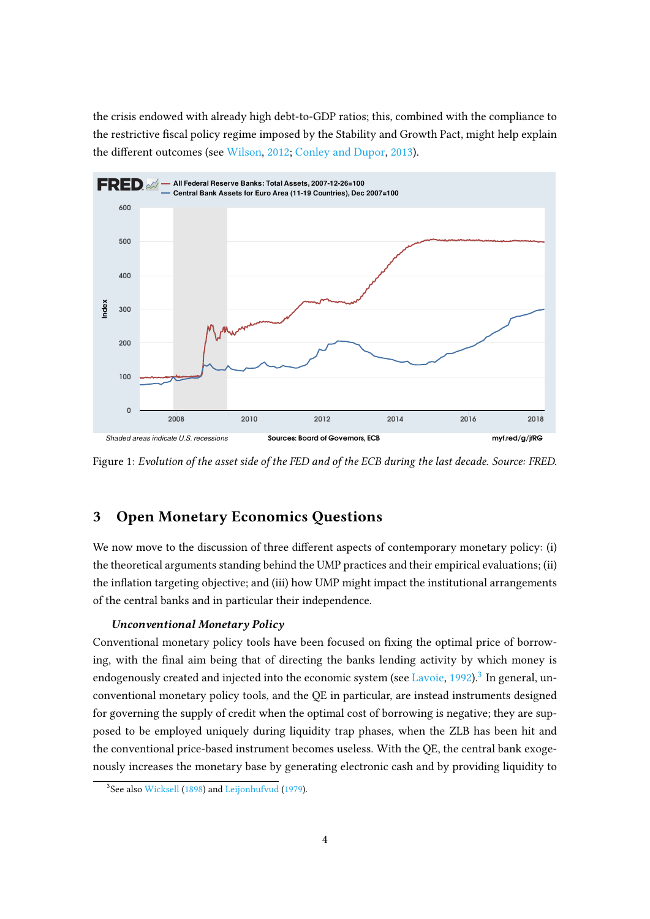the crisis endowed with already high debt-to-GDP ratios; this, combined with the compliance to the restrictive fiscal policy regime imposed by the Stability and Growth Pact, might help explain the different outcomes (see [Wilson,](#page-13-0) [2012;](#page-13-0) [Conley and Dupor,](#page-11-1) [2013\)](#page-11-1).

<span id="page-4-1"></span>

Figure 1: Evolution of the asset side of the FED and of the ECB during the last decade. Source: FRED.

### <span id="page-4-0"></span>3 Open Monetary Economics Questions

We now move to the discussion of three different aspects of contemporary monetary policy: (i) the theoretical arguments standing behind the UMP practices and their empirical evaluations; (ii) the inflation targeting objective; and (iii) how UMP might impact the institutional arrangements of the central banks and in particular their independence.

#### Unconventional Monetary Policy

Conventional monetary policy tools have been focused on fixing the optimal price of borrowing, with the final aim being that of directing the banks lending activity by which money is endogenously created and injected into the economic system (see [Lavoie,](#page-12-1) [1992\)](#page-12-1).<sup>[3](#page-4-2)</sup> In general, unconventional monetary policy tools, and the QE in particular, are instead instruments designed for governing the supply of credit when the optimal cost of borrowing is negative; they are supposed to be employed uniquely during liquidity trap phases, when the ZLB has been hit and the conventional price-based instrument becomes useless. With the QE, the central bank exogenously increases the monetary base by generating electronic cash and by providing liquidity to

<span id="page-4-2"></span><sup>&</sup>lt;sup>3</sup>See also [Wicksell](#page-13-1) [\(1898\)](#page-13-1) and [Leijonhufvud](#page-12-2) [\(1979\)](#page-12-2).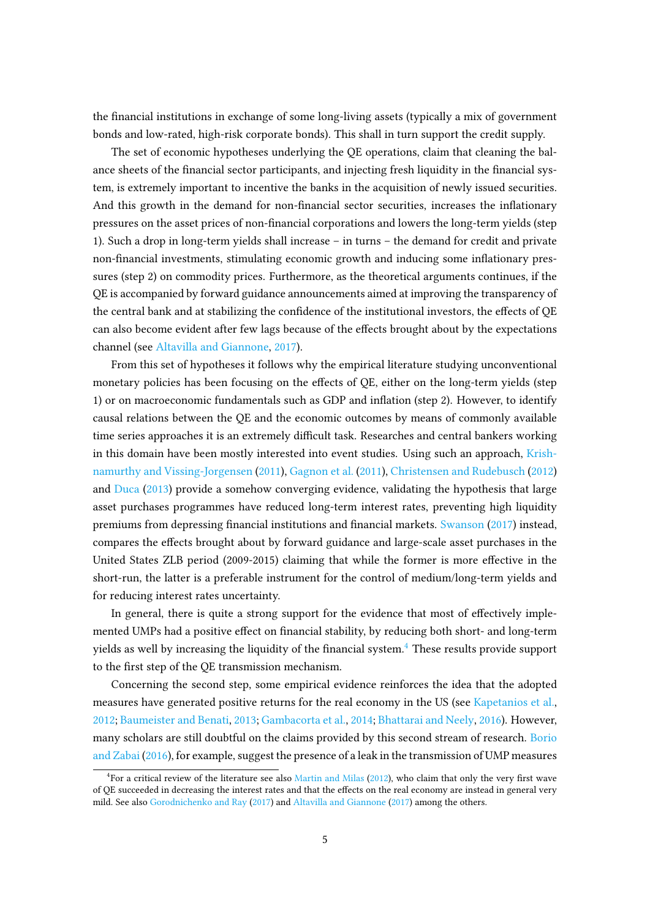the financial institutions in exchange of some long-living assets (typically a mix of government bonds and low-rated, high-risk corporate bonds). This shall in turn support the credit supply.

The set of economic hypotheses underlying the QE operations, claim that cleaning the balance sheets of the financial sector participants, and injecting fresh liquidity in the financial system, is extremely important to incentive the banks in the acquisition of newly issued securities. And this growth in the demand for non-financial sector securities, increases the inflationary pressures on the asset prices of non-financial corporations and lowers the long-term yields (step 1). Such a drop in long-term yields shall increase – in turns – the demand for credit and private non-financial investments, stimulating economic growth and inducing some inflationary pressures (step 2) on commodity prices. Furthermore, as the theoretical arguments continues, if the QE is accompanied by forward guidance announcements aimed at improving the transparency of the central bank and at stabilizing the confidence of the institutional investors, the effects of QE can also become evident after few lags because of the effects brought about by the expectations channel (see [Altavilla and Giannone,](#page-11-2) [2017\)](#page-11-2).

From this set of hypotheses it follows why the empirical literature studying unconventional monetary policies has been focusing on the effects of QE, either on the long-term yields (step 1) or on macroeconomic fundamentals such as GDP and inflation (step 2). However, to identify causal relations between the QE and the economic outcomes by means of commonly available time series approaches it is an extremely difficult task. Researches and central bankers working in this domain have been mostly interested into event studies. Using such an approach, [Krish](#page-12-3)[namurthy and Vissing-Jorgensen](#page-12-3) [\(2011\)](#page-12-3), [Gagnon et al.](#page-12-4) [\(2011\)](#page-12-4), [Christensen and Rudebusch](#page-11-3) [\(2012\)](#page-11-3) and  $D_{\text{uca}}$  [\(2013\)](#page-11-4) provide a somehow converging evidence, validating the hypothesis that large asset purchases programmes have reduced long-term interest rates, preventing high liquidity premiums from depressing financial institutions and financial markets. [Swanson](#page-13-2) [\(2017\)](#page-13-2) instead, compares the effects brought about by forward guidance and large-scale asset purchases in the United States ZLB period (2009-2015) claiming that while the former is more effective in the short-run, the latter is a preferable instrument for the control of medium/long-term yields and for reducing interest rates uncertainty.

In general, there is quite a strong support for the evidence that most of effectively implemented UMPs had a positive effect on financial stability, by reducing both short- and long-term yields as well by increasing the liquidity of the financial system.<sup>[4](#page-5-0)</sup> These results provide support to the first step of the QE transmission mechanism.

Concerning the second step, some empirical evidence reinforces the idea that the adopted measures have generated positive returns for the real economy in the US (see [Kapetanios et al.,](#page-12-5) [2012;](#page-12-5) [Baumeister and Benati,](#page-11-5) [2013;](#page-11-5) [Gambacorta et al.,](#page-12-6) [2014;](#page-12-6) [Bhattarai and Neely,](#page-11-6) [2016\)](#page-11-6). However, many scholars are still doubtful on the claims provided by this second stream of research. [Borio](#page-11-0) [and Zabai](#page-11-0) [\(2016\)](#page-11-0), for example, suggest the presence of a leak in the transmission of UMP measures

<span id="page-5-0"></span> $4$ For a critical review of the literature see also [Martin and Milas](#page-12-7) [\(2012\)](#page-12-7), who claim that only the very first wave of QE succeeded in decreasing the interest rates and that the effects on the real economy are instead in general very mild. See also [Gorodnichenko and Ray](#page-12-8) [\(2017\)](#page-12-8) and [Altavilla and Giannone](#page-11-2) [\(2017\)](#page-11-2) among the others.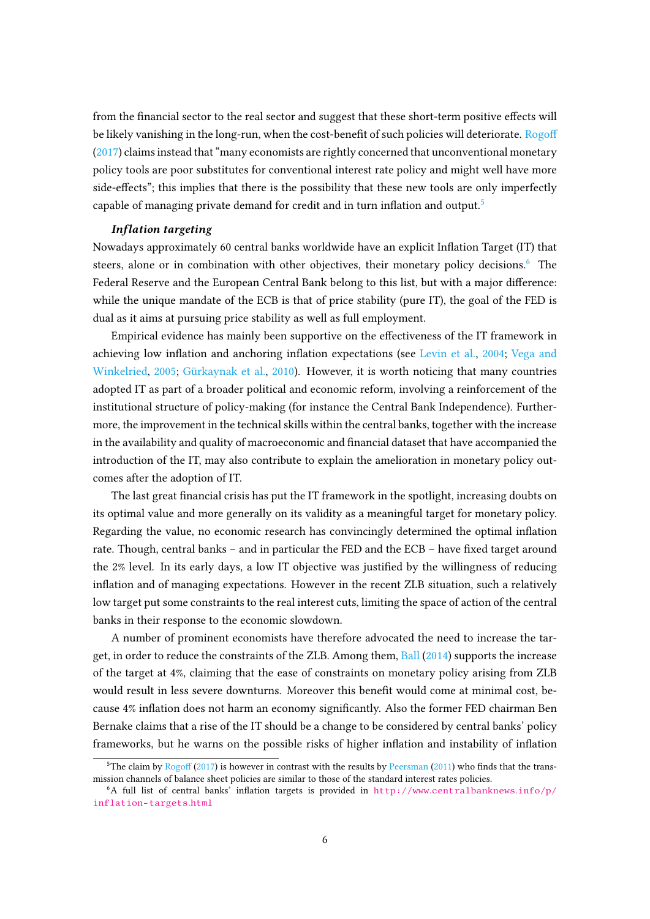from the financial sector to the real sector and suggest that these short-term positive effects will be likely vanishing in the long-run, when the cost-benefit of such policies will deteriorate. [Rogo](#page-13-3)ff [\(2017\)](#page-13-3) claims instead that "many economists are rightly concerned that unconventional monetary policy tools are poor substitutes for conventional interest rate policy and might well have more side-effects"; this implies that there is the possibility that these new tools are only imperfectly capable of managing private demand for credit and in turn inflation and output.<sup>[5](#page-6-0)</sup>

#### Inflation targeting

Nowadays approximately 60 central banks worldwide have an explicit Inflation Target (IT) that steers, alone or in combination with other objectives, their monetary policy decisions.<sup>[6](#page-6-1)</sup> The Federal Reserve and the European Central Bank belong to this list, but with a major difference: while the unique mandate of the ECB is that of price stability (pure IT), the goal of the FED is dual as it aims at pursuing price stability as well as full employment.

Empirical evidence has mainly been supportive on the effectiveness of the IT framework in achieving low inflation and anchoring inflation expectations (see [Levin et al.,](#page-12-9) [2004;](#page-12-9) [Vega and](#page-13-4) [Winkelried,](#page-13-4) [2005;](#page-13-4) [Gürkaynak et al.,](#page-12-10) [2010\)](#page-12-10). However, it is worth noticing that many countries adopted IT as part of a broader political and economic reform, involving a reinforcement of the institutional structure of policy-making (for instance the Central Bank Independence). Furthermore, the improvement in the technical skills within the central banks, together with the increase in the availability and quality of macroeconomic and financial dataset that have accompanied the introduction of the IT, may also contribute to explain the amelioration in monetary policy outcomes after the adoption of IT.

The last great financial crisis has put the IT framework in the spotlight, increasing doubts on its optimal value and more generally on its validity as a meaningful target for monetary policy. Regarding the value, no economic research has convincingly determined the optimal inflation rate. Though, central banks – and in particular the FED and the  $ECB -$  have fixed target around the 2% level. In its early days, a low IT objective was justified by the willingness of reducing inflation and of managing expectations. However in the recent ZLB situation, such a relatively low target put some constraints to the real interest cuts, limiting the space of action of the central banks in their response to the economic slowdown.

A number of prominent economists have therefore advocated the need to increase the target, in order to reduce the constraints of the ZLB. Among them, [Ball](#page-11-7) [\(2014\)](#page-11-7) supports the increase of the target at 4%, claiming that the ease of constraints on monetary policy arising from ZLB would result in less severe downturns. Moreover this benefit would come at minimal cost, because 4% inflation does not harm an economy significantly. Also the former FED chairman Ben Bernake claims that a rise of the IT should be a change to be considered by central banks' policy frameworks, but he warns on the possible risks of higher inflation and instability of inflation

<span id="page-6-0"></span><sup>&</sup>lt;sup>5</sup>The claim by [Rogo](#page-13-3)ff [\(2017\)](#page-13-3) is however in contrast with the results by [Peersman](#page-12-11) [\(2011\)](#page-12-11) who finds that the transmission channels of balance sheet policies are similar to those of the standard interest rates policies.

<span id="page-6-1"></span> $6A$  full list of central banks' inflation targets is provided in http://www.[centralbanknews](http://www.centralbanknews.info/p/inflation-targets.html).info/p/ [inflation-targets](http://www.centralbanknews.info/p/inflation-targets.html).html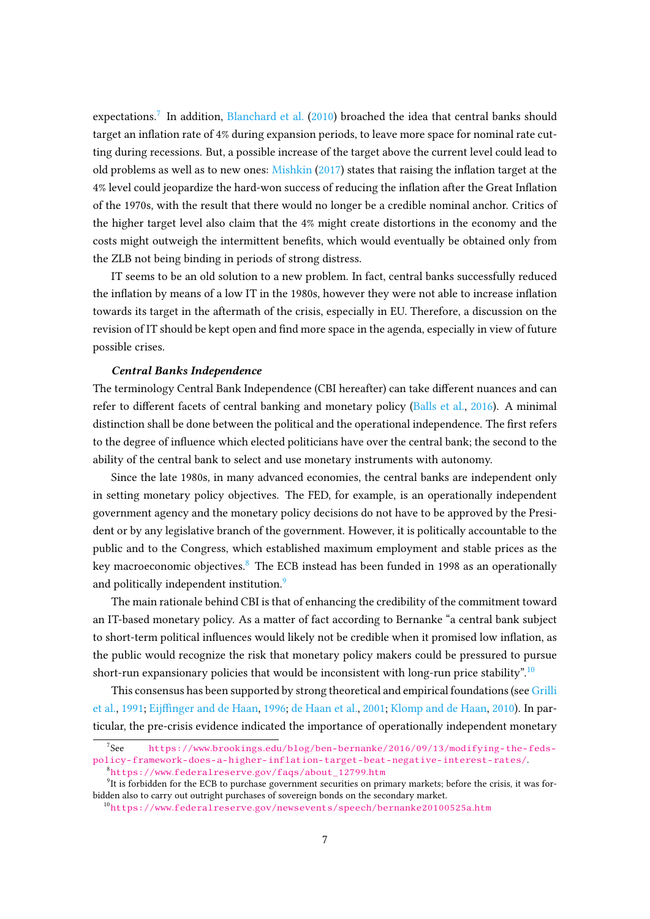expectations.<sup>[7](#page-7-0)</sup> In addition, [Blanchard et al.](#page-11-8) [\(2010\)](#page-11-8) broached the idea that central banks should target an inflation rate of 4% during expansion periods, to leave more space for nominal rate cutting during recessions. But, a possible increase of the target above the current level could lead to old problems as well as to new ones: [Mishkin](#page-12-12)  $(2017)$  states that raising the inflation target at the 4% level could jeopardize the hard-won success of reducing the inflation after the Great Inflation of the 1970s, with the result that there would no longer be a credible nominal anchor. Critics of the higher target level also claim that the 4% might create distortions in the economy and the costs might outweigh the intermittent benets, which would eventually be obtained only from the ZLB not being binding in periods of strong distress.

IT seems to be an old solution to a new problem. In fact, central banks successfully reduced the inflation by means of a low IT in the 1980s, however they were not able to increase inflation towards its target in the aftermath of the crisis, especially in EU. Therefore, a discussion on the revision of IT should be kept open and find more space in the agenda, especially in view of future possible crises.

#### Central Banks Independence

The terminology Central Bank Independence (CBI hereafter) can take different nuances and can refer to different facets of central banking and monetary policy [\(Balls et al.,](#page-11-9) [2016\)](#page-11-9). A minimal distinction shall be done between the political and the operational independence. The first refers to the degree of influence which elected politicians have over the central bank; the second to the ability of the central bank to select and use monetary instruments with autonomy.

Since the late 1980s, in many advanced economies, the central banks are independent only in setting monetary policy objectives. The FED, for example, is an operationally independent government agency and the monetary policy decisions do not have to be approved by the President or by any legislative branch of the government. However, it is politically accountable to the public and to the Congress, which established maximum employment and stable prices as the key macroeconomic objectives.<sup>[8](#page-7-1)</sup> The ECB instead has been funded in 1998 as an operationally and politically independent institution.<sup>[9](#page-7-2)</sup>

The main rationale behind CBI is that of enhancing the credibility of the commitment toward an IT-based monetary policy. As a matter of fact according to Bernanke "a central bank subject to short-term political influences would likely not be credible when it promised low inflation, as the public would recognize the risk that monetary policy makers could be pressured to pursue short-run expansionary policies that would be inconsistent with long-run price stability".<sup>[10](#page-7-3)</sup>

This consensus has been supported by strong theoretical and empirical foundations (see [Grilli](#page-12-13) [et al.,](#page-12-13) [1991;](#page-12-13) Eijffinger and de Haan, [1996;](#page-11-10) [de Haan et al.,](#page-11-11) [2001;](#page-11-11) [Klomp and de Haan,](#page-12-14) [2010\)](#page-12-14). In particular, the pre-crisis evidence indicated the importance of operationally independent monetary

<span id="page-7-0"></span> $7$ See See https://www.brookings.[edu/blog/ben-bernanke/2016/09/13/modifying-the-feds](https://www.brookings.edu/blog/ben-bernanke/2016/09/13/modifying-the-feds-policy-framework-does-a-higher-inflation-target-beat-negative-interest-rates/)[policy-framework-does-a-higher-inflation-target-beat-negative-interest-rates/](https://www.brookings.edu/blog/ben-bernanke/2016/09/13/modifying-the-feds-policy-framework-does-a-higher-inflation-target-beat-negative-interest-rates/).

<span id="page-7-2"></span><span id="page-7-1"></span><sup>8</sup>https://www.federalreserve.[gov/faqs/about\\_12799](https://www.federalreserve.gov/faqs/about_12799.htm).htm

<sup>&</sup>lt;sup>9</sup>It is forbidden for the ECB to purchase government securities on primary markets; before the crisis, it was forbidden also to carry out outright purchases of sovereign bonds on the secondary market.

<span id="page-7-3"></span><sup>10</sup>https://www.federalreserve.[gov/newsevents/speech/bernanke20100525a](https://www.federalreserve.gov/newsevents/speech/bernanke20100525a.htm).htm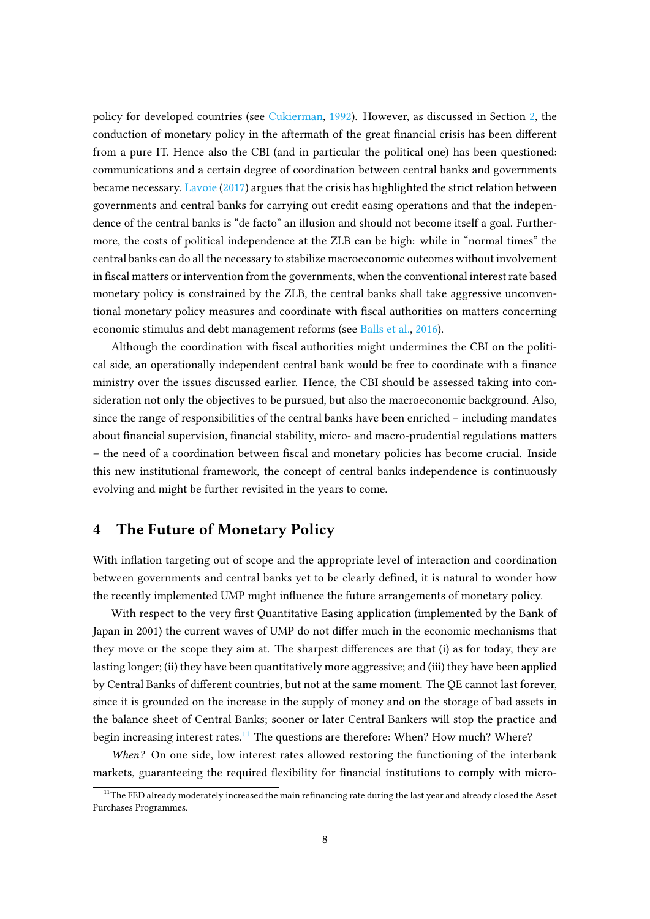policy for developed countries (see [Cukierman,](#page-11-12) [1992\)](#page-11-12). However, as discussed in Section [2,](#page-2-0) the conduction of monetary policy in the aftermath of the great financial crisis has been different from a pure IT. Hence also the CBI (and in particular the political one) has been questioned: communications and a certain degree of coordination between central banks and governments became necessary. [Lavoie](#page-12-15) [\(2017\)](#page-12-15) argues that the crisis has highlighted the strict relation between governments and central banks for carrying out credit easing operations and that the independence of the central banks is "de facto" an illusion and should not become itself a goal. Furthermore, the costs of political independence at the ZLB can be high: while in "normal times" the central banks can do all the necessary to stabilize macroeconomic outcomes without involvement in fiscal matters or intervention from the governments, when the conventional interest rate based monetary policy is constrained by the ZLB, the central banks shall take aggressive unconventional monetary policy measures and coordinate with fiscal authorities on matters concerning economic stimulus and debt management reforms (see [Balls et al.,](#page-11-9) [2016\)](#page-11-9).

Although the coordination with fiscal authorities might undermines the CBI on the political side, an operationally independent central bank would be free to coordinate with a finance ministry over the issues discussed earlier. Hence, the CBI should be assessed taking into consideration not only the objectives to be pursued, but also the macroeconomic background. Also, since the range of responsibilities of the central banks have been enriched – including mandates about financial supervision, financial stability, micro- and macro-prudential regulations matters – the need of a coordination between scal and monetary policies has become crucial. Inside this new institutional framework, the concept of central banks independence is continuously evolving and might be further revisited in the years to come.

### <span id="page-8-0"></span>4 The Future of Monetary Policy

With inflation targeting out of scope and the appropriate level of interaction and coordination between governments and central banks yet to be clearly defined, it is natural to wonder how the recently implemented UMP might influence the future arrangements of monetary policy.

With respect to the very first Quantitative Easing application (implemented by the Bank of Japan in 2001) the current waves of UMP do not differ much in the economic mechanisms that they move or the scope they aim at. The sharpest differences are that  $(i)$  as for today, they are lasting longer; (ii) they have been quantitatively more aggressive; and (iii) they have been applied by Central Banks of different countries, but not at the same moment. The QE cannot last forever, since it is grounded on the increase in the supply of money and on the storage of bad assets in the balance sheet of Central Banks; sooner or later Central Bankers will stop the practice and begin increasing interest rates.<sup>[11](#page-8-1)</sup> The questions are therefore: When? How much? Where?

When? On one side, low interest rates allowed restoring the functioning of the interbank markets, guaranteeing the required flexibility for financial institutions to comply with micro-

<span id="page-8-1"></span> $11$ The FED already moderately increased the main refinancing rate during the last year and already closed the Asset Purchases Programmes.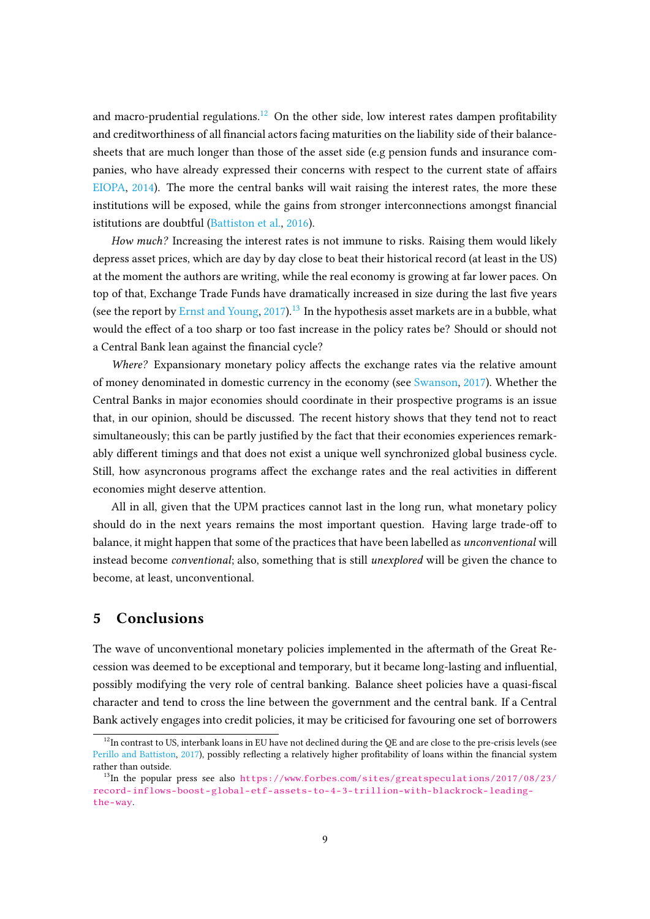and macro-prudential regulations.<sup>[12](#page-9-1)</sup> On the other side, low interest rates dampen profitability and creditworthiness of all financial actors facing maturities on the liability side of their balancesheets that are much longer than those of the asset side (e.g pension funds and insurance companies, who have already expressed their concerns with respect to the current state of affairs [EIOPA,](#page-11-13) [2014\)](#page-11-13). The more the central banks will wait raising the interest rates, the more these institutions will be exposed, while the gains from stronger interconnections amongst financial istitutions are doubtful [\(Battiston et al.,](#page-11-14) [2016\)](#page-11-14).

How much? Increasing the interest rates is not immune to risks. Raising them would likely depress asset prices, which are day by day close to beat their historical record (at least in the US) at the moment the authors are writing, while the real economy is growing at far lower paces. On top of that, Exchange Trade Funds have dramatically increased in size during the last five years (see the report by [Ernst and Young,](#page-11-15) [2017\)](#page-11-15).<sup>[13](#page-9-2)</sup> In the hypothesis asset markets are in a bubble, what would the effect of a too sharp or too fast increase in the policy rates be? Should or should not a Central Bank lean against the financial cycle?

Where? Expansionary monetary policy affects the exchange rates via the relative amount of money denominated in domestic currency in the economy (see [Swanson,](#page-13-2) [2017\)](#page-13-2). Whether the Central Banks in major economies should coordinate in their prospective programs is an issue that, in our opinion, should be discussed. The recent history shows that they tend not to react simultaneously; this can be partly justified by the fact that their economies experiences remarkably different timings and that does not exist a unique well synchronized global business cycle. Still, how asyncronous programs affect the exchange rates and the real activities in different economies might deserve attention.

All in all, given that the UPM practices cannot last in the long run, what monetary policy should do in the next years remains the most important question. Having large trade-off to balance, it might happen that some of the practices that have been labelled as unconventional will instead become *conventional*; also, something that is still *unexplored* will be given the chance to become, at least, unconventional.

# <span id="page-9-0"></span>5 Conclusions

The wave of unconventional monetary policies implemented in the aftermath of the Great Recession was deemed to be exceptional and temporary, but it became long-lasting and inuential, possibly modifying the very role of central banking. Balance sheet policies have a quasi-fiscal character and tend to cross the line between the government and the central bank. If a Central Bank actively engages into credit policies, it may be criticised for favouring one set of borrowers

<span id="page-9-1"></span><sup>&</sup>lt;sup>12</sup>In contrast to US, interbank loans in EU have not declined during the QE and are close to the pre-crisis levels (see [Perillo and Battiston,](#page-13-5) [2017\)](#page-13-5), possibly reflecting a relatively higher profitability of loans within the financial system rather than outside.

<span id="page-9-2"></span><sup>&</sup>lt;sup>13</sup>In the popular press see also https://www.forbes.[com/sites/greatspeculations/2017/08/23/](https://www.forbes.com/sites/greatspeculations/2017/08/23/record-inflows-boost-global-etf-assets-to-4-3-trillion-with-blackrock-leading-the-way) [record-inflows-boost-global-etf-assets-to-4-3-trillion-with-blackrock-leading](https://www.forbes.com/sites/greatspeculations/2017/08/23/record-inflows-boost-global-etf-assets-to-4-3-trillion-with-blackrock-leading-the-way)[the-way](https://www.forbes.com/sites/greatspeculations/2017/08/23/record-inflows-boost-global-etf-assets-to-4-3-trillion-with-blackrock-leading-the-way).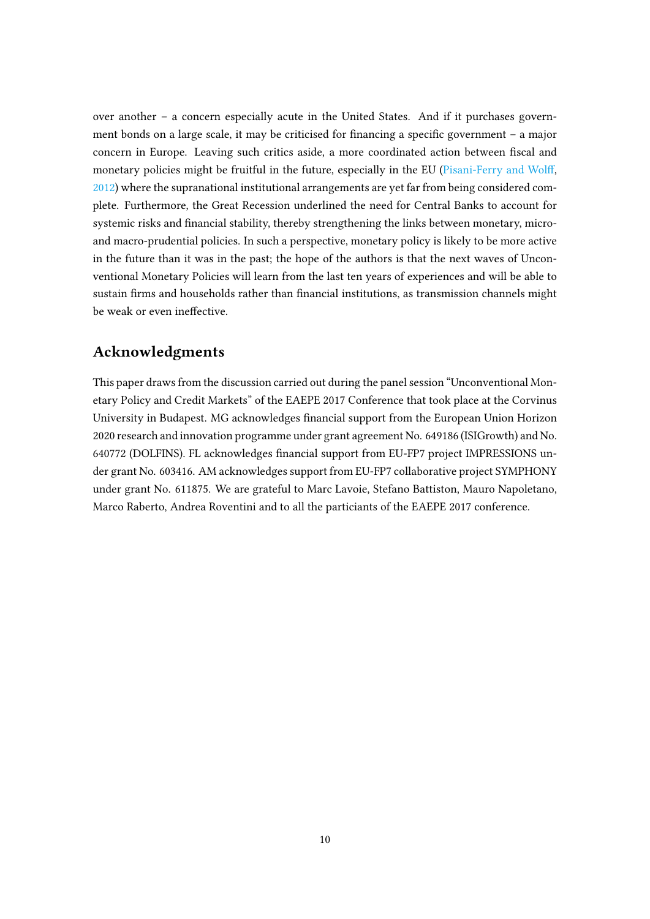over another – a concern especially acute in the United States. And if it purchases government bonds on a large scale, it may be criticised for financing a specific government  $-$  a major concern in Europe. Leaving such critics aside, a more coordinated action between fiscal and monetary policies might be fruitful in the future, especially in the EU (Pisani-Ferry and Wolff, [2012\)](#page-13-6) where the supranational institutional arrangements are yet far from being considered complete. Furthermore, the Great Recession underlined the need for Central Banks to account for systemic risks and financial stability, thereby strengthening the links between monetary, microand macro-prudential policies. In such a perspective, monetary policy is likely to be more active in the future than it was in the past; the hope of the authors is that the next waves of Unconventional Monetary Policies will learn from the last ten years of experiences and will be able to sustain firms and households rather than financial institutions, as transmission channels might be weak or even ineffective.

# Acknowledgments

This paper draws from the discussion carried out during the panel session "Unconventional Monetary Policy and Credit Markets" of the EAEPE 2017 Conference that took place at the Corvinus University in Budapest. MG acknowledges financial support from the European Union Horizon 2020 research and innovation programme under grant agreement No. 649186 (ISIGrowth) and No. 640772 (DOLFINS). FL acknowledges financial support from EU-FP7 project IMPRESSIONS under grant No. 603416. AM acknowledges support from EU-FP7 collaborative project SYMPHONY under grant No. 611875. We are grateful to Marc Lavoie, Stefano Battiston, Mauro Napoletano, Marco Raberto, Andrea Roventini and to all the particiants of the EAEPE 2017 conference.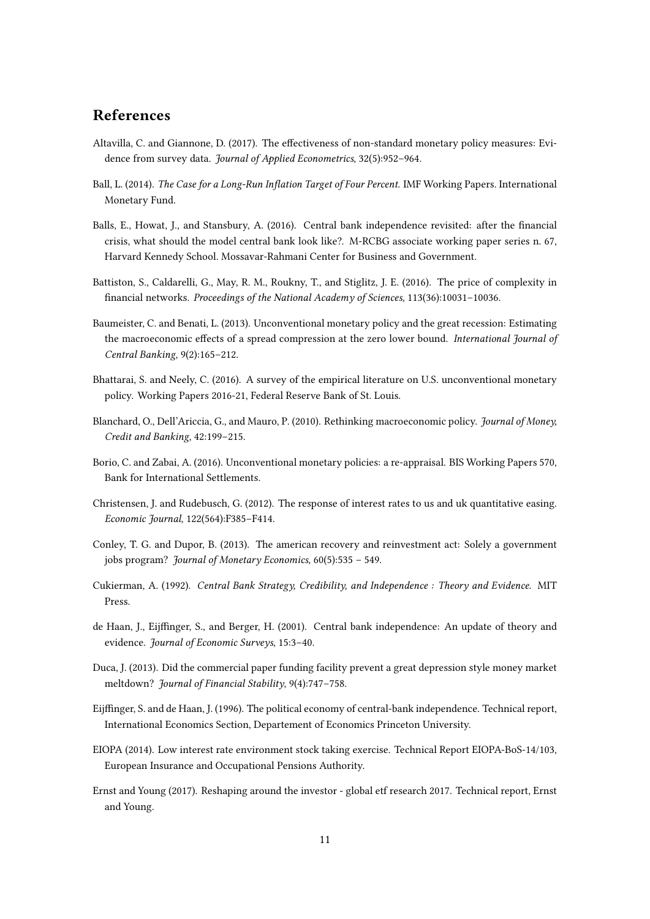# References

- <span id="page-11-2"></span>Altavilla, C. and Giannone, D. (2017). The effectiveness of non-standard monetary policy measures: Evidence from survey data. Journal of Applied Econometrics, 32(5):952–964.
- <span id="page-11-7"></span>Ball, L. (2014). The Case for a Long-Run Inflation Target of Four Percent. IMF Working Papers. International Monetary Fund.
- <span id="page-11-9"></span>Balls, E., Howat, J., and Stansbury, A. (2016). Central bank independence revisited: after the financial crisis, what should the model central bank look like?. M-RCBG associate working paper series n. 67, Harvard Kennedy School. Mossavar-Rahmani Center for Business and Government.
- <span id="page-11-14"></span>Battiston, S., Caldarelli, G., May, R. M., Roukny, T., and Stiglitz, J. E. (2016). The price of complexity in financial networks. Proceedings of the National Academy of Sciences, 113(36):10031-10036.
- <span id="page-11-5"></span>Baumeister, C. and Benati, L. (2013). Unconventional monetary policy and the great recession: Estimating the macroeconomic effects of a spread compression at the zero lower bound. International Journal of Central Banking, 9(2):165–212.
- <span id="page-11-6"></span>Bhattarai, S. and Neely, C. (2016). A survey of the empirical literature on U.S. unconventional monetary policy. Working Papers 2016-21, Federal Reserve Bank of St. Louis.
- <span id="page-11-8"></span>Blanchard, O., Dell'Ariccia, G., and Mauro, P. (2010). Rethinking macroeconomic policy. Journal of Money, Credit and Banking, 42:199–215.
- <span id="page-11-0"></span>Borio, C. and Zabai, A. (2016). Unconventional monetary policies: a re-appraisal. BIS Working Papers 570, Bank for International Settlements.
- <span id="page-11-3"></span>Christensen, J. and Rudebusch, G. (2012). The response of interest rates to us and uk quantitative easing. Economic Journal, 122(564):F385–F414.
- <span id="page-11-1"></span>Conley, T. G. and Dupor, B. (2013). The american recovery and reinvestment act: Solely a government jobs program? Journal of Monetary Economics, 60(5):535 – 549.
- <span id="page-11-12"></span>Cukierman, A. (1992). Central Bank Strategy, Credibility, and Independence : Theory and Evidence. MIT Press.
- <span id="page-11-11"></span>de Haan, J., Eijffinger, S., and Berger, H. (2001). Central bank independence: An update of theory and evidence. Journal of Economic Surveys, 15:3–40.
- <span id="page-11-4"></span>Duca, J. (2013). Did the commercial paper funding facility prevent a great depression style money market meltdown? Journal of Financial Stability, 9(4):747-758.
- <span id="page-11-10"></span>Eijffinger, S. and de Haan, J. (1996). The political economy of central-bank independence. Technical report, International Economics Section, Departement of Economics Princeton University.
- <span id="page-11-13"></span>EIOPA (2014). Low interest rate environment stock taking exercise. Technical Report EIOPA-BoS-14/103, European Insurance and Occupational Pensions Authority.
- <span id="page-11-15"></span>Ernst and Young (2017). Reshaping around the investor - global etf research 2017. Technical report, Ernst and Young.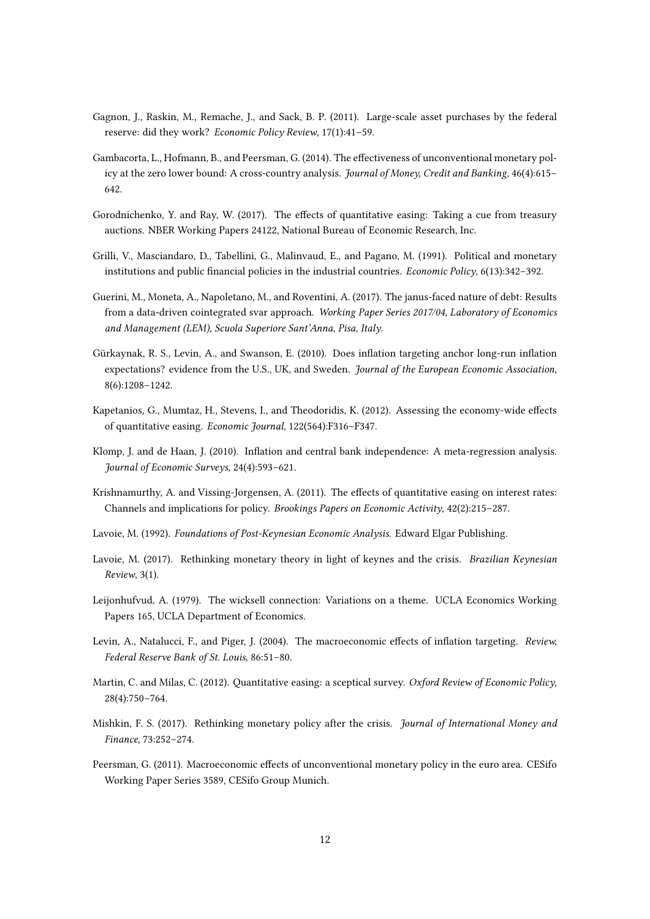- <span id="page-12-4"></span>Gagnon, J., Raskin, M., Remache, J., and Sack, B. P. (2011). Large-scale asset purchases by the federal reserve: did they work? Economic Policy Review, 17(1):41–59.
- <span id="page-12-6"></span>Gambacorta, L., Hofmann, B., and Peersman, G. (2014). The effectiveness of unconventional monetary policy at the zero lower bound: A cross-country analysis. Journal of Money, Credit and Banking, 46(4):615– 642.
- <span id="page-12-8"></span>Gorodnichenko, Y. and Ray, W. (2017). The effects of quantitative easing: Taking a cue from treasury auctions. NBER Working Papers 24122, National Bureau of Economic Research, Inc.
- <span id="page-12-13"></span>Grilli, V., Masciandaro, D., Tabellini, G., Malinvaud, E., and Pagano, M. (1991). Political and monetary institutions and public financial policies in the industrial countries. *Economic Policy*,  $6(13):342-392$ .
- <span id="page-12-0"></span>Guerini, M., Moneta, A., Napoletano, M., and Roventini, A. (2017). The janus-faced nature of debt: Results from a data-driven cointegrated svar approach. Working Paper Series 2017/04, Laboratory of Economics and Management (LEM), Scuola Superiore Sant'Anna, Pisa, Italy.
- <span id="page-12-10"></span>Gürkaynak, R. S., Levin, A., and Swanson, E. (2010). Does inflation targeting anchor long-run inflation expectations? evidence from the U.S., UK, and Sweden. Journal of the European Economic Association, 8(6):1208–1242.
- <span id="page-12-5"></span>Kapetanios, G., Mumtaz, H., Stevens, I., and Theodoridis, K. (2012). Assessing the economy-wide effects of quantitative easing. Economic Journal, 122(564):F316–F347.
- <span id="page-12-14"></span>Klomp, J. and de Haan, J. (2010). Inflation and central bank independence: A meta-regression analysis. Journal of Economic Surveys, 24(4):593–621.
- <span id="page-12-3"></span>Krishnamurthy, A. and Vissing-Jorgensen, A. (2011). The effects of quantitative easing on interest rates: Channels and implications for policy. Brookings Papers on Economic Activity, 42(2):215–287.
- <span id="page-12-1"></span>Lavoie, M. (1992). Foundations of Post-Keynesian Economic Analysis. Edward Elgar Publishing.
- <span id="page-12-15"></span>Lavoie, M. (2017). Rethinking monetary theory in light of keynes and the crisis. Brazilian Keynesian Review, 3(1).
- <span id="page-12-2"></span>Leijonhufvud, A. (1979). The wicksell connection: Variations on a theme. UCLA Economics Working Papers 165, UCLA Department of Economics.
- <span id="page-12-9"></span>Levin, A., Natalucci, F., and Piger, J. (2004). The macroeconomic effects of inflation targeting. Review, Federal Reserve Bank of St. Louis, 86:51–80.
- <span id="page-12-7"></span>Martin, C. and Milas, C. (2012). Quantitative easing: a sceptical survey. Oxford Review of Economic Policy, 28(4):750–764.
- <span id="page-12-12"></span>Mishkin, F. S. (2017). Rethinking monetary policy after the crisis. Journal of International Money and Finance, 73:252–274.
- <span id="page-12-11"></span>Peersman, G. (2011). Macroeconomic effects of unconventional monetary policy in the euro area. CESifo Working Paper Series 3589, CESifo Group Munich.